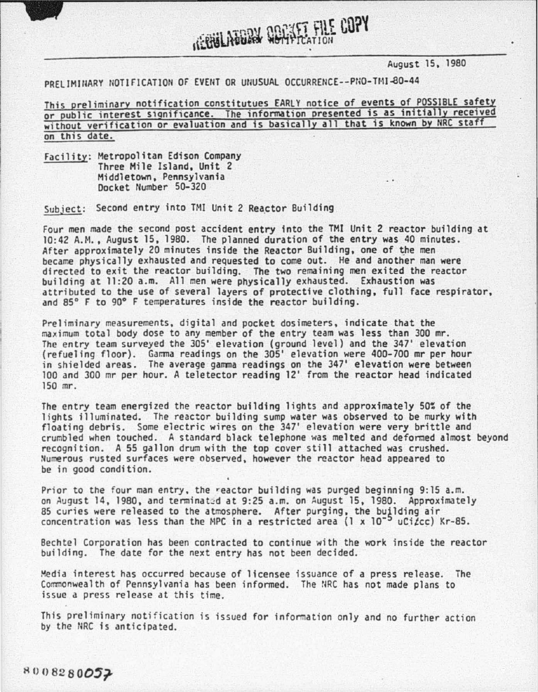August 15, 1980

## PRELIMINARY NOTIFICATION OF EVENT OR UNUSUAL OCCURRENCE--PNO-TMI-80-44

This preliminary notification constitutues EARLY notice of events of POSSIBLE safety or public interest significance. The information presented is as initially received without verification or evaluation and is basically all that is known by NRC staff on this date.

*IGRIBALARDRA QUARTER FILE COPY* 

Facility: Metropolitan Edison Company Three Mile Island, Unit 2 Middletown. Pennsylvania Docket Number 50-320

Subiect: Second entry into TMI Unit 2 Reactor Building

Four men made the second post accident entry into the TMI Unit 2 reactor building at 10:42 A.M., August 15, 1980. The planned duration of the entry was 40 minutes.<br>After approximately 20 minutes inside the Reactor Building, one of the men became physically exhausted and requested to come out. He and another man were directed to exit the reactor building. The two remaining men exited the reactor building at 11:20 a.m. All men were physically exhausted. Exhaustion was attributed to the use of several layers of protective clothing, full face respirator, and 85° F to 90° F temperatures inside the reactor building.

Preliminary measurements, digital and pocket dosimeters, indicate that the maximum total body dose to any member of the entry team was less than 300 mr. The entry team surveyed the 305' elevation (ground level) and the 347' elevation (refueling floor). Gamma readings on the 305' elevation were 400-700 mr per hour in shielded areas. The average gamma readings on the 347' elevation were between 100 and 300 mr per hour. A teletector reading 12' from the reactor head indicated 150 mr.

The entry team energized the reactor building lights and approximately 50% of the lights illuminated. The reactor building sump water was observed to be murky with floating debris. Some electric wires on the 347' elevation were very brittle and crumbled when touched. A standard black telephone was melted and deformed almost beyond recognition. A 55 gallon drum with the top cover still attached was crushed. Numerous rusted surfaces were observed, however the reactor head appeared to be in good condition.

Prior to the four man entry, the reactor building was purged beginning 9:15 a.m.<br>on August 14, 1980, and terminated at 9:25 a.m. on August 15, 1980. Approximately on August 14, 1980, and terminated at 9:25 a.m. on August 15, 1980. Approximately<br>85 curies were released to the atmosphere. After purging, the building air concentration was less than the MPC in a restricted area (1 x  $10^{-5}$  uCi $\ell$ cc) Kr-85.

Bechtel Corporation has been contracted to continue with the work inside the reactor building. The date for the next entry has not been decided.

Media interest has occurred because of licensee issuance of a press release. The Commonwealth of Pennsylvania has been informed. The NRC has not made plans to issue a press release at this time.

This preliminary notification is issued for information only and no further action by the NRC is anticipated.